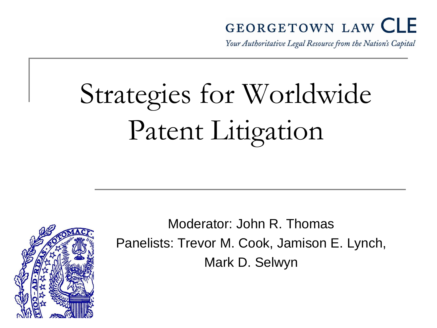#### **GEORGETOWN LAW CLE**

Your Authoritative Legal Resource from the Nation's Capital

# Strategies for Worldwide Patent Litigation



Moderator: John R. Thomas Panelists: Trevor M. Cook, Jamison E. Lynch, Mark D. Selwyn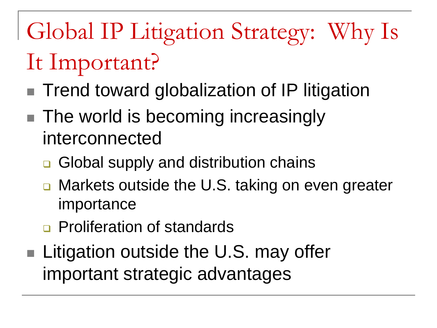# Global IP Litigation Strategy: Why Is It Important?

- Trend toward globalization of IP litigation
- The world is becoming increasingly interconnected
	- **□** Global supply and distribution chains
	- Markets outside the U.S. taking on even greater importance
	- **Proliferation of standards**
- Litigation outside the U.S. may offer important strategic advantages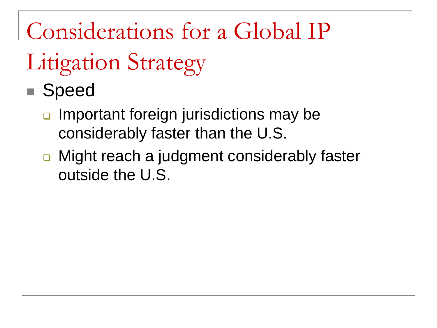- Speed
	- **Important foreign jurisdictions may be** considerably faster than the U.S.
	- Might reach a judgment considerably faster outside the U.S.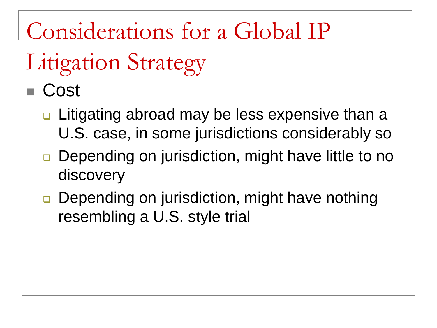# Litigation Strategy

### ■ Cost

- **□** Litigating abroad may be less expensive than a U.S. case, in some jurisdictions considerably so
- **Depending on jurisdiction, might have little to no** discovery
- **□** Depending on jurisdiction, might have nothing resembling a U.S. style trial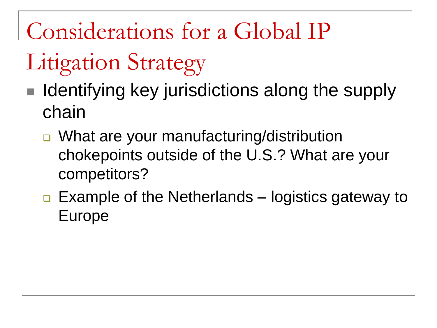- Litigation Strategy
- Identifying key jurisdictions along the supply chain
	- What are your manufacturing/distribution chokepoints outside of the U.S.? What are your competitors?
	- $\Box$  Example of the Netherlands logistics gateway to Europe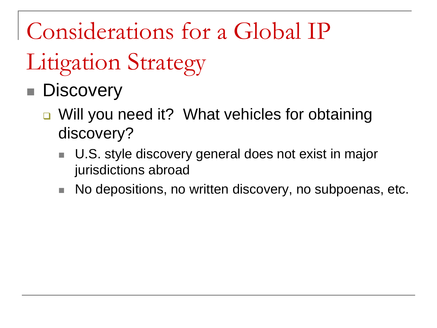# Litigation Strategy

### **Discovery**

- Will you need it? What vehicles for obtaining discovery?
	- U.S. style discovery general does not exist in major jurisdictions abroad
	- No depositions, no written discovery, no subpoenas, etc.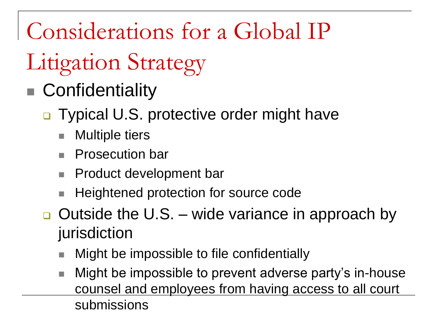- Confidentiality
	- □ Typical U.S. protective order might have
		- **Multiple tiers**
		- Prosecution bar
		- Product development bar
		- Heightened protection for source code
	- $\Box$  Outside the U.S. wide variance in approach by jurisdiction
		- Might be impossible to file confidentially
		- Might be impossible to prevent adverse party's in-house counsel and employees from having access to all court submissions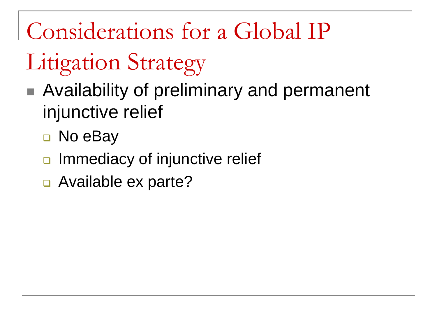- Availability of preliminary and permanent injunctive relief
	- □ No eBay
	- **Immediacy of injunctive relief**
	- Available ex parte?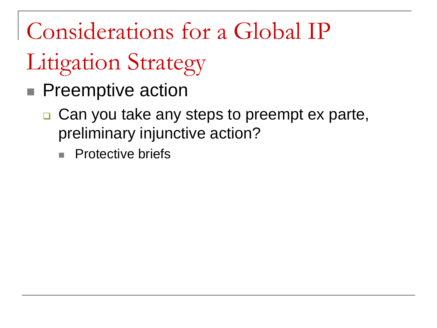- **Preemptive action** 
	- **□ Can you take any steps to preempt ex parte,** preliminary injunctive action?
		- **Protective briefs**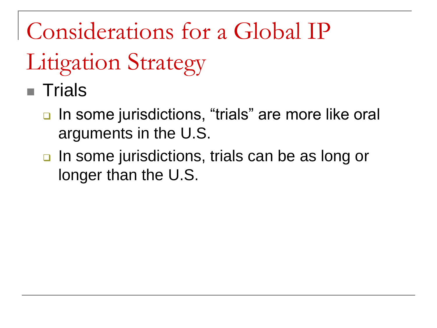# Litigation Strategy

■ Trials

- In some jurisdictions, "trials" are more like oral arguments in the U.S.
- **u** In some jurisdictions, trials can be as long or longer than the U.S.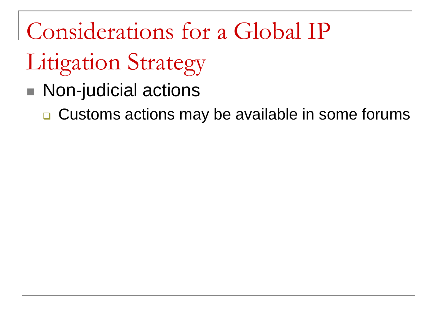# Litigation Strategy

■ Non-judicial actions

**□ Customs actions may be available in some forums**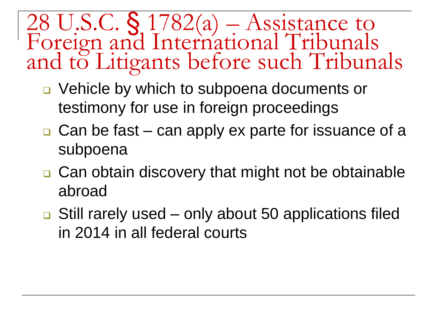28 U.S.C. § 1782(a) – Assistance to Foreign and International Tribunals and to Litigants before such Tribunals

- □ Vehicle by which to subpoena documents or testimony for use in foreign proceedings
- $\Box$  Can be fast can apply ex parte for issuance of a subpoena
- **□ Can obtain discovery that might not be obtainable** abroad
- $\Box$  Still rarely used only about 50 applications filed in 2014 in all federal courts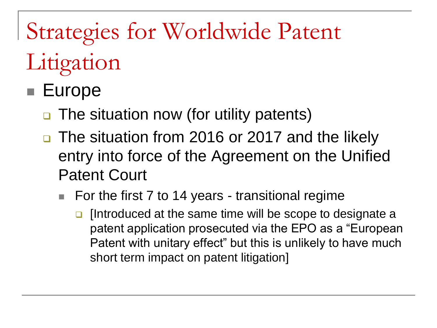# Strategies for Worldwide Patent

## Litigation

### ■ Europe

- **□** The situation now (for utility patents)
- □ The situation from 2016 or 2017 and the likely entry into force of the Agreement on the Unified Patent Court
	- For the first 7 to 14 years transitional regime
		- $\Box$  [Introduced at the same time will be scope to designate a patent application prosecuted via the EPO as a "European Patent with unitary effect" but this is unlikely to have much short term impact on patent litigation]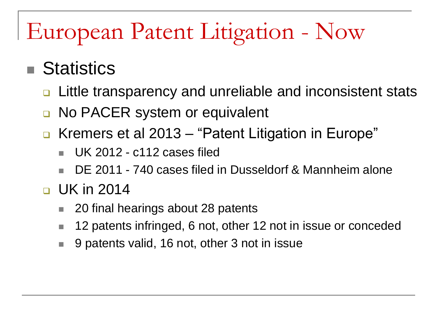# European Patent Litigation - Now

#### **Statistics**

- □ Little transparency and unreliable and inconsistent stats
- **No PACER system or equivalent**
- Kremers et al 2013 "Patent Litigation in Europe"
	- UK 2012 c112 cases filed
	- DE 2011 740 cases filed in Dusseldorf & Mannheim alone

#### $\Box$  UK in 2014

- 20 final hearings about 28 patents
- 12 patents infringed, 6 not, other 12 not in issue or conceded
- 9 patents valid, 16 not, other 3 not in issue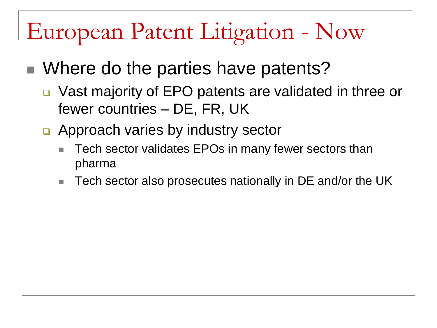### European Patent Litigation - Now

- Where do the parties have patents?
	- □ Vast majority of EPO patents are validated in three or fewer countries – DE, FR, UK
	- □ Approach varies by industry sector
		- Tech sector validates EPOs in many fewer sectors than pharma
		- Tech sector also prosecutes nationally in DE and/or the UK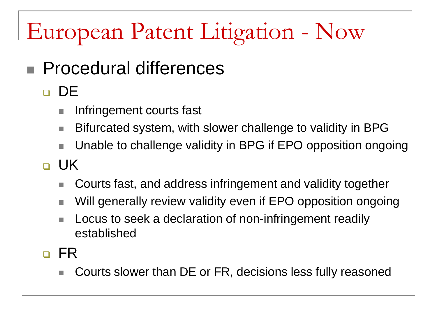# European Patent Litigation - Now

- Procedural differences
	- o DE
		- Infringement courts fast
		- Bifurcated system, with slower challenge to validity in BPG
		- Unable to challenge validity in BPG if EPO opposition ongoing
	- o UK
		- Courts fast, and address infringement and validity together
		- Will generally review validity even if EPO opposition ongoing
		- Locus to seek a declaration of non-infringement readily established
	- n FR
		- Courts slower than DE or FR, decisions less fully reasoned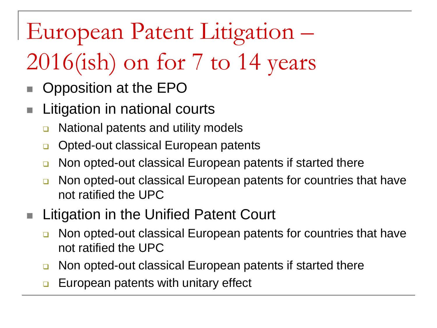### European Patent Litigation –

# 2016(ish) on for 7 to 14 years

- Opposition at the EPO
- **Litigation in national courts** 
	- **□** National patents and utility models
	- **□** Opted-out classical European patents
	- **Non opted-out classical European patents if started there**
	- **Non opted-out classical European patents for countries that have** not ratified the UPC
- **Litigation in the Unified Patent Court** 
	- **Non opted-out classical European patents for countries that have** not ratified the UPC
	- **Non opted-out classical European patents if started there**
	- European patents with unitary effect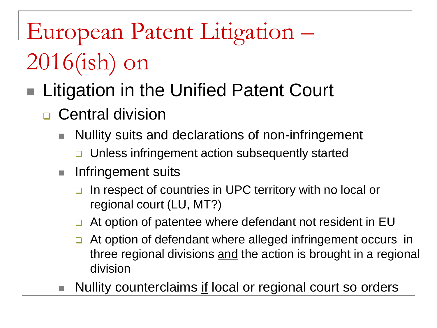# European Patent Litigation – 2016(ish) on

### Litigation in the Unified Patent Court

- **D** Central division
	- Nullity suits and declarations of non-infringement
		- **□** Unless infringement action subsequently started
	- **Infringement suits** 
		- In respect of countries in UPC territory with no local or regional court (LU, MT?)
		- □ At option of patentee where defendant not resident in EU
		- **□** At option of defendant where alleged infringement occurs in three regional divisions and the action is brought in a regional division
	- Nullity counterclaims if local or regional court so orders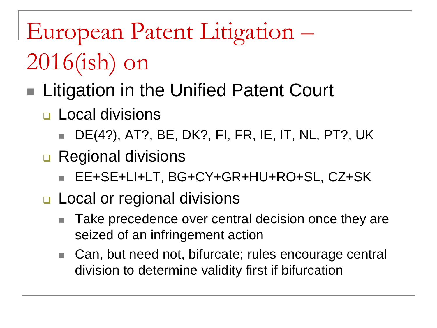European Patent Litigation – 2016(ish) on

### ■ Litigation in the Unified Patent Court

- **<u>n</u>** Local divisions
	- DE(4?), AT?, BE, DK?, FI, FR, IE, IT, NL, PT?, UK
- **Regional divisions** 
	- EE+SE+LI+LT, BG+CY+GR+HU+RO+SL, CZ+SK
- **Local or regional divisions** 
	- Take precedence over central decision once they are seized of an infringement action
	- Can, but need not, bifurcate; rules encourage central division to determine validity first if bifurcation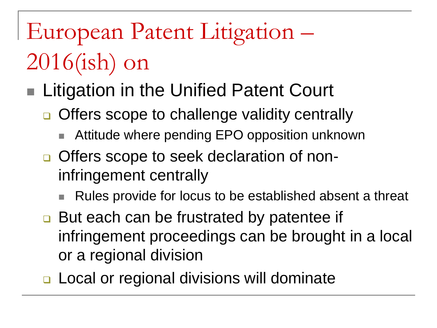# European Patent Litigation – 2016(ish) on

- Litigation in the Unified Patent Court
	- □ Offers scope to challenge validity centrally
		- Attitude where pending EPO opposition unknown
	- **□** Offers scope to seek declaration of noninfringement centrally
		- Rules provide for locus to be established absent a threat
	- But each can be frustrated by patentee if infringement proceedings can be brought in a local or a regional division
	- □ Local or regional divisions will dominate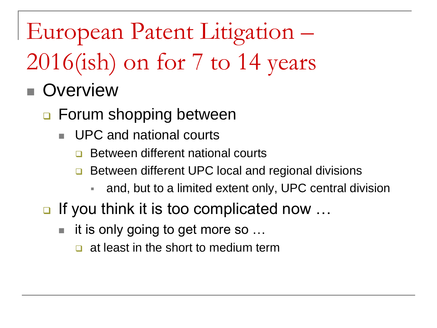European Patent Litigation –

# 2016(ish) on for 7 to 14 years

#### **Overview**

- **□ Forum shopping between** 
	- UPC and national courts
		- Between different national courts
		- **□** Between different UPC local and regional divisions
			- and, but to a limited extent only, UPC central division
- $\Box$  If you think it is too complicated now ...
	- it is only going to get more so …
		- $\Box$  at least in the short to medium term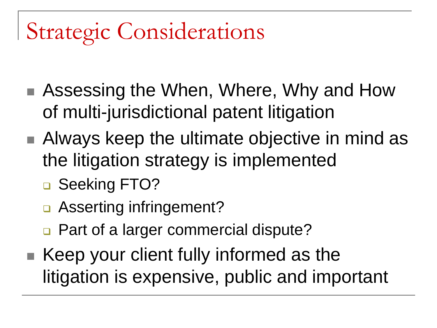- Assessing the When, Where, Why and How of multi-jurisdictional patent litigation
- Always keep the ultimate objective in mind as the litigation strategy is implemented
	- □ Seeking FTO?
	- □ Asserting infringement?
	- □ Part of a larger commercial dispute?
- $\blacksquare$  Keep your client fully informed as the litigation is expensive, public and important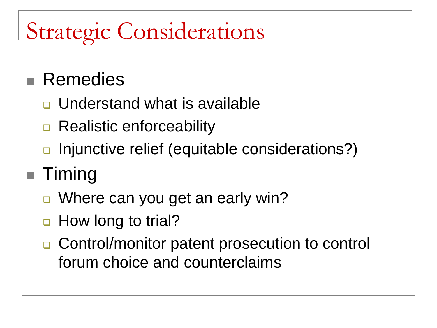#### **Remedies**

- **□** Understand what is available
- **□ Realistic enforceability**
- n Injunctive relief (equitable considerations?)

#### Timing

- Where can you get an early win?
- How long to trial?
- **□ Control/monitor patent prosecution to control** forum choice and counterclaims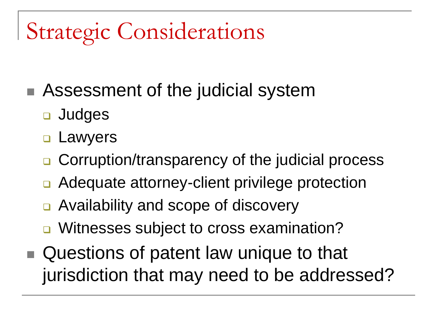- Assessment of the judicial system
	- **D** Judges
	- **<u>n</u>** Lawyers
	- **□** Corruption/transparency of the judicial process
	- Adequate attorney-client privilege protection
	- Availability and scope of discovery
	- Witnesses subject to cross examination?
- Questions of patent law unique to that jurisdiction that may need to be addressed?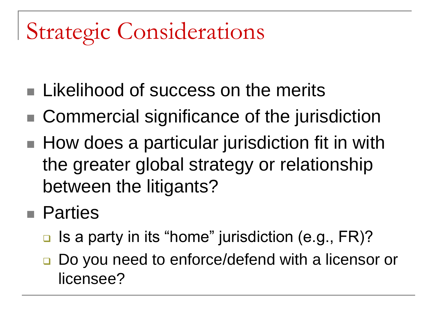- **Likelihood of success on the merits**
- Commercial significance of the jurisdiction
- How does a particular jurisdiction fit in with the greater global strategy or relationship between the litigants?
- **Parties** 
	- $\Box$  Is a party in its "home" jurisdiction (e.g., FR)?
	- Do you need to enforce/defend with a licensor or licensee?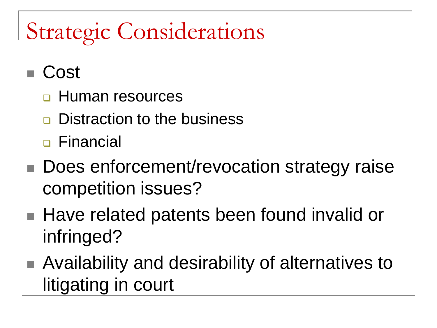- Cost
	- **<u>n</u>** Human resources
	- **Q.** Distraction to the business
	- □ Financial
- Does enforcement/revocation strategy raise competition issues?
- Have related patents been found invalid or infringed?
- Availability and desirability of alternatives to litigating in court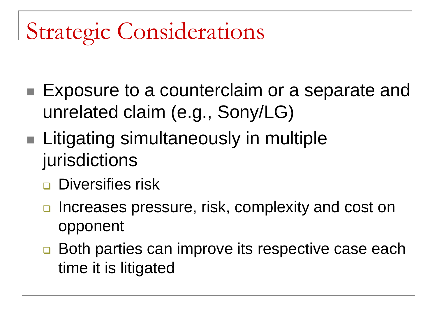- Exposure to a counterclaim or a separate and unrelated claim (e.g., Sony/LG)
- **Litigating simultaneously in multiple** jurisdictions
	- **Diversifies risk**
	- **□** Increases pressure, risk, complexity and cost on opponent
	- **□** Both parties can improve its respective case each time it is litigated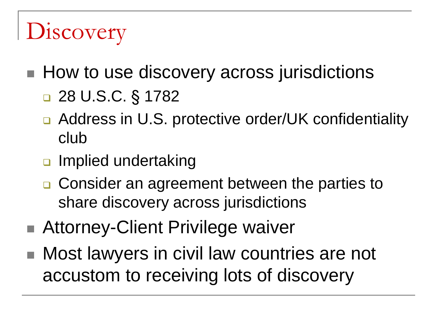# **Discovery**

- How to use discovery across jurisdictions
	- 28 U.S.C. § 1782
	- Address in U.S. protective order/UK confidentiality club
	- **a** Implied undertaking
	- □ Consider an agreement between the parties to share discovery across jurisdictions
- Attorney-Client Privilege waiver
- Most lawyers in civil law countries are not accustom to receiving lots of discovery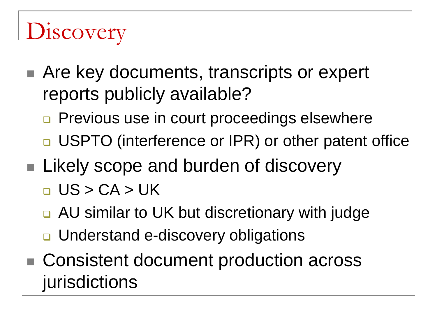# **Discovery**

- Are key documents, transcripts or expert reports publicly available?
	- **Previous use in court proceedings elsewhere**
	- □ USPTO (interference or IPR) or other patent office
- Likely scope and burden of discovery
	- $\Box$  US > CA > UK
	- AU similar to UK but discretionary with judge
	- **□** Understand e-discovery obligations
- Consistent document production across jurisdictions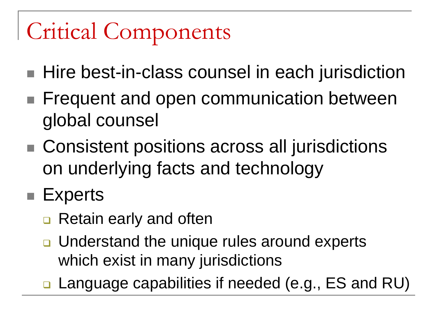# Critical Components

- Hire best-in-class counsel in each jurisdiction
- **Figuent and open communication between** global counsel
- Consistent positions across all jurisdictions on underlying facts and technology
- Experts
	- **□** Retain early and often
	- □ Understand the unique rules around experts which exist in many jurisdictions
	- **□ Language capabilities if needed (e.g., ES and RU)**